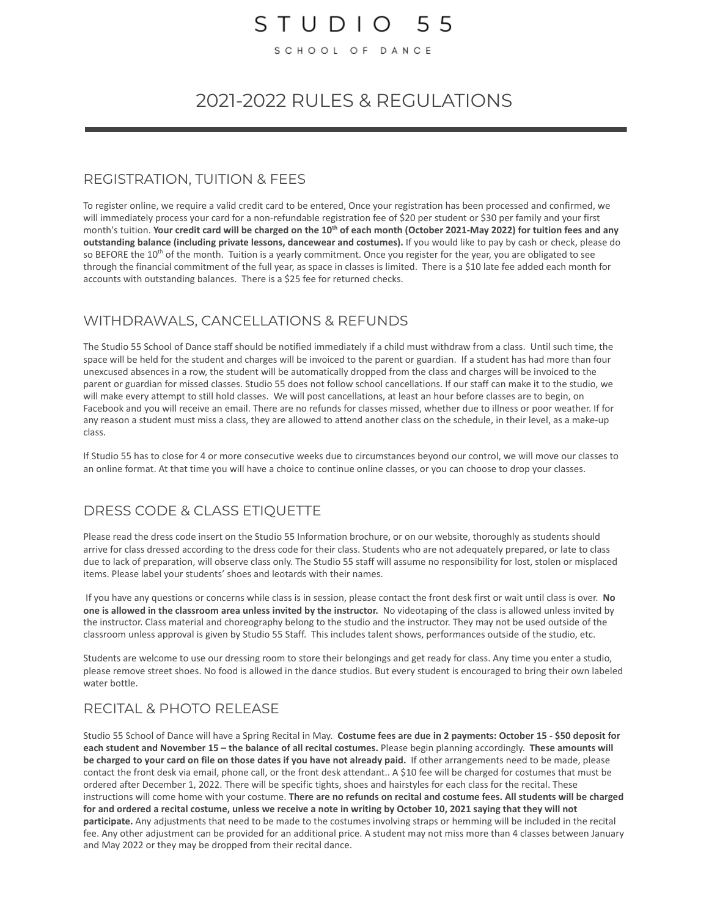## $STUDIO 55$

SCHOOL OF DANCE

## 2021-2022 RULES & REGULATIONS

#### REGISTRATION, TUITION & FEES

To register online, we require a valid credit card to be entered, Once your registration has been processed and confirmed, we will immediately process your card for a non-refundable registration fee of \$20 per student or \$30 per family and your first month's tuition. **Your credit card will be charged on the 10th of each month (October 2021-May 2022) for tuition fees and any outstanding balance (including private lessons, dancewear and costumes).** If you would like to pay by cash or check, please do so BEFORE the 10<sup>th</sup> of the month. Tuition is a yearly commitment. Once you register for the year, you are obligated to see through the financial commitment of the full year, as space in classes is limited. There is a \$10 late fee added each month for accounts with outstanding balances. There is a \$25 fee for returned checks.

#### WITHDRAWALS, CANCELLATIONS & REFUNDS

The Studio 55 School of Dance staff should be notified immediately if a child must withdraw from a class. Until such time, the space will be held for the student and charges will be invoiced to the parent or guardian. If a student has had more than four unexcused absences in a row, the student will be automatically dropped from the class and charges will be invoiced to the parent or guardian for missed classes. Studio 55 does not follow school cancellations. If our staff can make it to the studio, we will make every attempt to still hold classes. We will post cancellations, at least an hour before classes are to begin, on Facebook and you will receive an email. There are no refunds for classes missed, whether due to illness or poor weather. If for any reason a student must miss a class, they are allowed to attend another class on the schedule, in their level, as a make-up class.

If Studio 55 has to close for 4 or more consecutive weeks due to circumstances beyond our control, we will move our classes to an online format. At that time you will have a choice to continue online classes, or you can choose to drop your classes.

#### DRESS CODE & CLASS ETIQUETTE

Please read the dress code insert on the Studio 55 Information brochure, or on our website, thoroughly as students should arrive for class dressed according to the dress code for their class. Students who are not adequately prepared, or late to class due to lack of preparation, will observe class only. The Studio 55 staff will assume no responsibility for lost, stolen or misplaced items. Please label your students' shoes and leotards with their names.

If you have any questions or concerns while class is in session, please contact the front desk first or wait until class is over. **No one is allowed in the classroom area unless invited by the instructor.** No videotaping of the class is allowed unless invited by the instructor. Class material and choreography belong to the studio and the instructor. They may not be used outside of the classroom unless approval is given by Studio 55 Staff. This includes talent shows, performances outside of the studio, etc.

Students are welcome to use our dressing room to store their belongings and get ready for class. Any time you enter a studio, please remove street shoes. No food is allowed in the dance studios. But every student is encouraged to bring their own labeled water bottle.

### RECITAL & PHOTO RELEASE

Studio 55 School of Dance will have a Spring Recital in May. **Costume fees are due in 2 payments: October 15 - \$50 deposit for each student and November 15 – the balance of all recital costumes.** Please begin planning accordingly. **These amounts will be charged to your card on file on those dates if you have not already paid.** If other arrangements need to be made, please contact the front desk via email, phone call, or the front desk attendant.. A \$10 fee will be charged for costumes that must be ordered after December 1, 2022. There will be specific tights, shoes and hairstyles for each class for the recital. These instructions will come home with your costume. **There are no refunds on recital and costume fees. All students will be charged for and ordered a recital costume, unless we receive a note in writing by October 10, 2021 saying that they will not participate.** Any adjustments that need to be made to the costumes involving straps or hemming will be included in the recital fee. Any other adjustment can be provided for an additional price. A student may not miss more than 4 classes between January and May 2022 or they may be dropped from their recital dance.